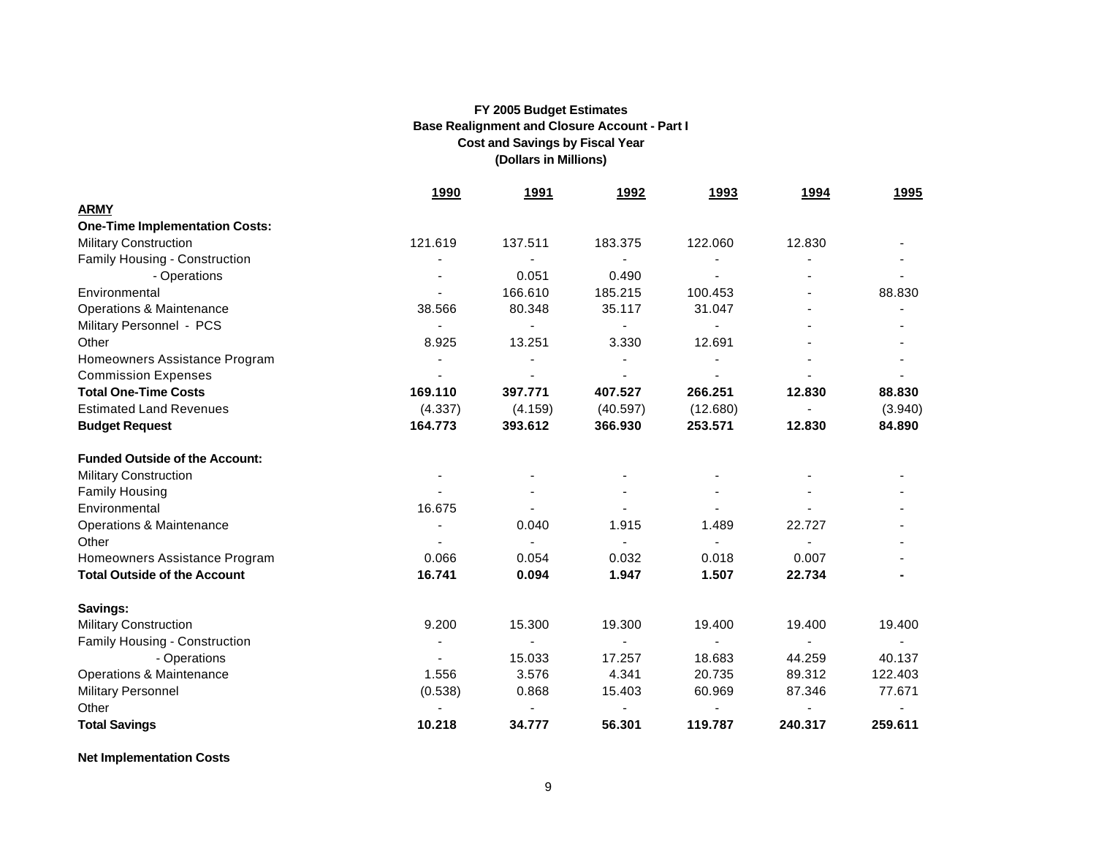|                                       | <u>1990</u>    | <u>1991</u>              | 1992           | 1993                     | <u>1994</u>    | <u>1995</u> |
|---------------------------------------|----------------|--------------------------|----------------|--------------------------|----------------|-------------|
| <b>ARMY</b>                           |                |                          |                |                          |                |             |
| <b>One-Time Implementation Costs:</b> |                |                          |                |                          |                |             |
| <b>Military Construction</b>          | 121.619        | 137.511                  | 183.375        | 122.060                  | 12.830         |             |
| Family Housing - Construction         |                |                          |                | $\overline{\phantom{a}}$ |                |             |
| - Operations                          |                | 0.051                    | 0.490          |                          |                |             |
| Environmental                         |                | 166.610                  | 185.215        | 100.453                  |                | 88.830      |
| <b>Operations &amp; Maintenance</b>   | 38.566         | 80.348                   | 35.117         | 31.047                   |                |             |
| Military Personnel - PCS              | $\blacksquare$ | $\blacksquare$           |                | $\blacksquare$           |                |             |
| Other                                 | 8.925          | 13.251                   | 3.330          | 12.691                   |                |             |
| Homeowners Assistance Program         |                |                          |                |                          |                |             |
| <b>Commission Expenses</b>            |                |                          |                |                          |                |             |
| <b>Total One-Time Costs</b>           | 169.110        | 397.771                  | 407.527        | 266.251                  | 12.830         | 88,830      |
| <b>Estimated Land Revenues</b>        | (4.337)        | (4.159)                  | (40.597)       | (12.680)                 |                | (3.940)     |
| <b>Budget Request</b>                 | 164.773        | 393.612                  | 366.930        | 253.571                  | 12.830         | 84.890      |
| <b>Funded Outside of the Account:</b> |                |                          |                |                          |                |             |
| <b>Military Construction</b>          |                |                          |                |                          |                |             |
| <b>Family Housing</b>                 |                |                          |                |                          |                |             |
| Environmental                         | 16.675         |                          |                |                          |                |             |
| Operations & Maintenance              |                | 0.040                    | 1.915          | 1.489                    | 22.727         |             |
| Other                                 |                |                          |                |                          |                |             |
| Homeowners Assistance Program         | 0.066          | 0.054                    | 0.032          | 0.018                    | 0.007          |             |
| <b>Total Outside of the Account</b>   | 16.741         | 0.094                    | 1.947          | 1.507                    | 22.734         |             |
| Savings:                              |                |                          |                |                          |                |             |
| <b>Military Construction</b>          | 9.200          | 15.300                   | 19.300         | 19.400                   | 19.400         | 19.400      |
| Family Housing - Construction         | $\blacksquare$ | $\overline{\phantom{a}}$ | $\blacksquare$ | $\blacksquare$           | $\blacksquare$ | $\sim$      |
| - Operations                          |                | 15.033                   | 17.257         | 18.683                   | 44.259         | 40.137      |
| <b>Operations &amp; Maintenance</b>   | 1.556          | 3.576                    | 4.341          | 20.735                   | 89.312         | 122.403     |
| <b>Military Personnel</b>             | (0.538)        | 0.868                    | 15.403         | 60.969                   | 87.346         | 77.671      |
| Other                                 |                |                          |                |                          |                |             |
| <b>Total Savings</b>                  | 10.218         | 34.777                   | 56.301         | 119.787                  | 240.317        | 259.611     |

**Net Implementation Costs**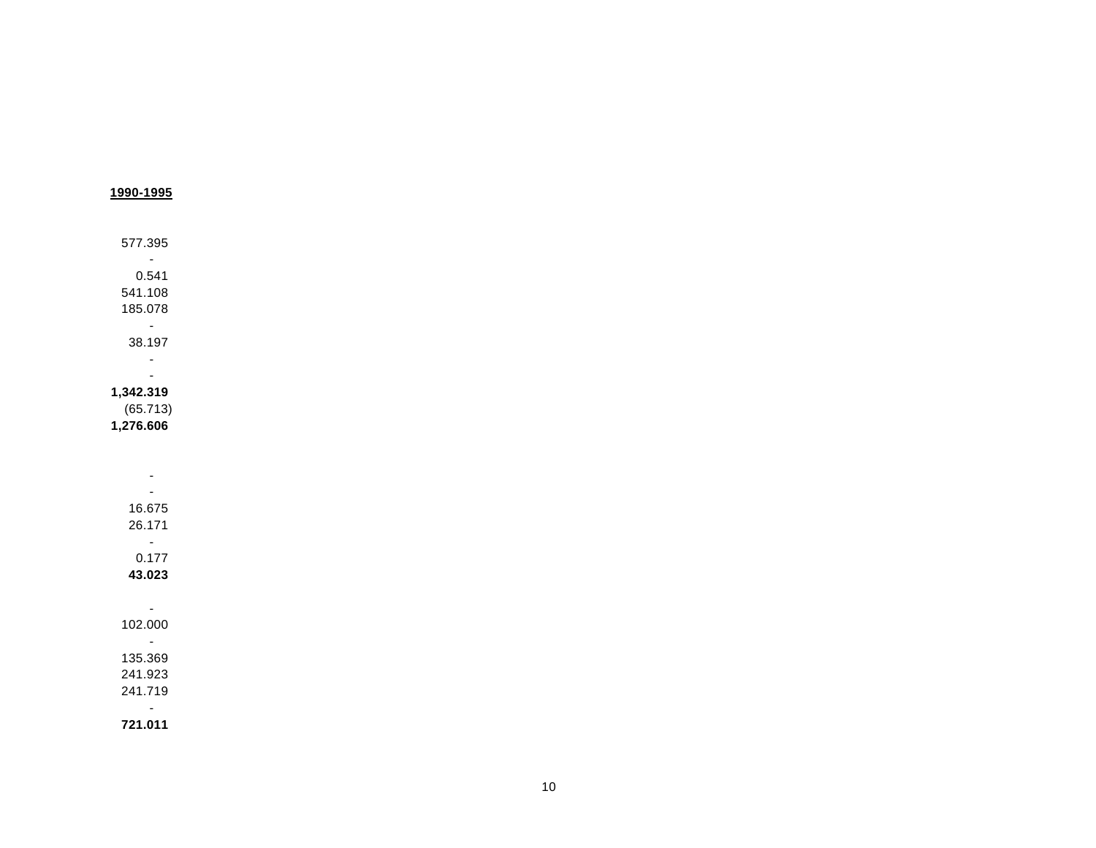| 1990-1995                 |  |  |
|---------------------------|--|--|
| 577.395                   |  |  |
| $\sim$ $\sim$             |  |  |
| 0.541                     |  |  |
| 541.108                   |  |  |
| 185.078                   |  |  |
| $\sim 100$                |  |  |
| 38.197                    |  |  |
| $\blacksquare$            |  |  |
| $\overline{\phantom{a}}$  |  |  |
| 1,342.319                 |  |  |
| (65.713)                  |  |  |
| 1,276.606                 |  |  |
|                           |  |  |
|                           |  |  |
| $\blacksquare$            |  |  |
| $\blacksquare$            |  |  |
| 16.675                    |  |  |
| 26.171                    |  |  |
| $\sim$ $\sim$             |  |  |
| 0.177                     |  |  |
| 43.023                    |  |  |
|                           |  |  |
| $\sim$                    |  |  |
| 102.000                   |  |  |
| $\omega_{\rm c}$          |  |  |
| 135.369                   |  |  |
| 241.923                   |  |  |
| 241.719                   |  |  |
| $\blacksquare$<br>721.011 |  |  |
|                           |  |  |

10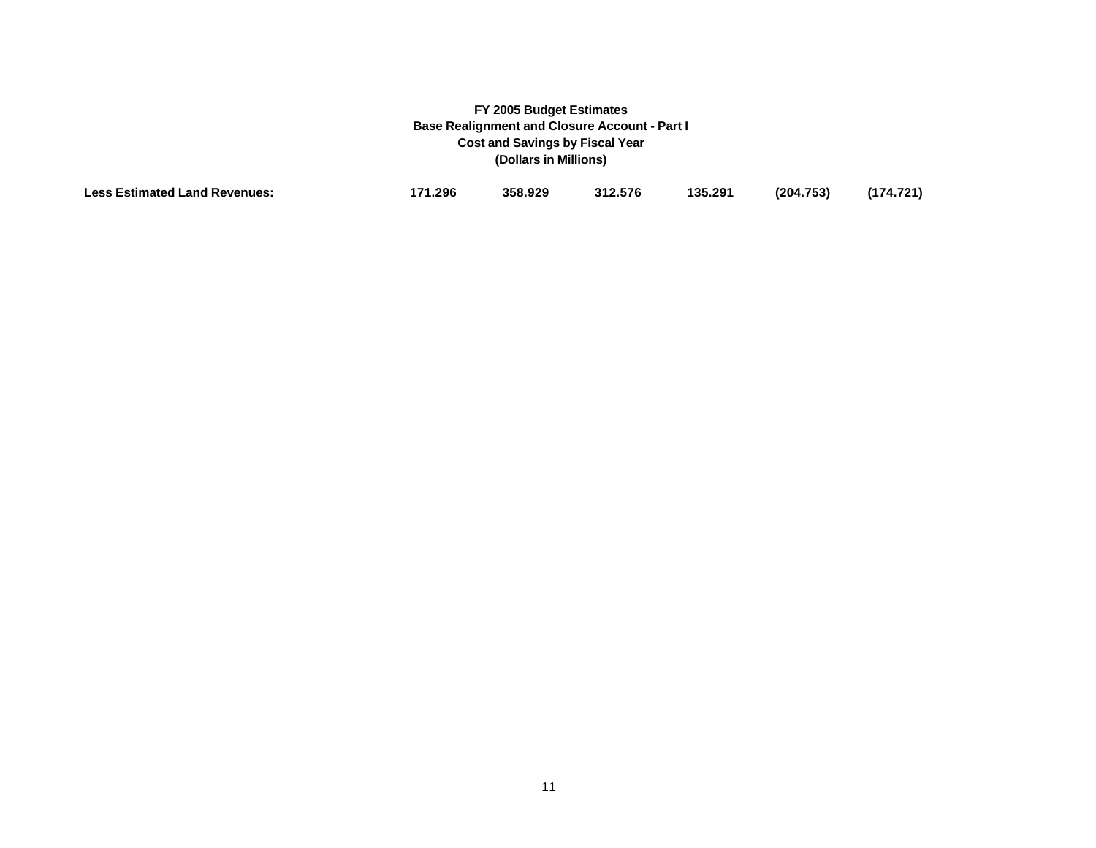| <b>Less Estimated Land Revenues:</b> | '71.296 | 358.929 | 312.576 | 135.291 | (204.753) | (174.721) |
|--------------------------------------|---------|---------|---------|---------|-----------|-----------|
|--------------------------------------|---------|---------|---------|---------|-----------|-----------|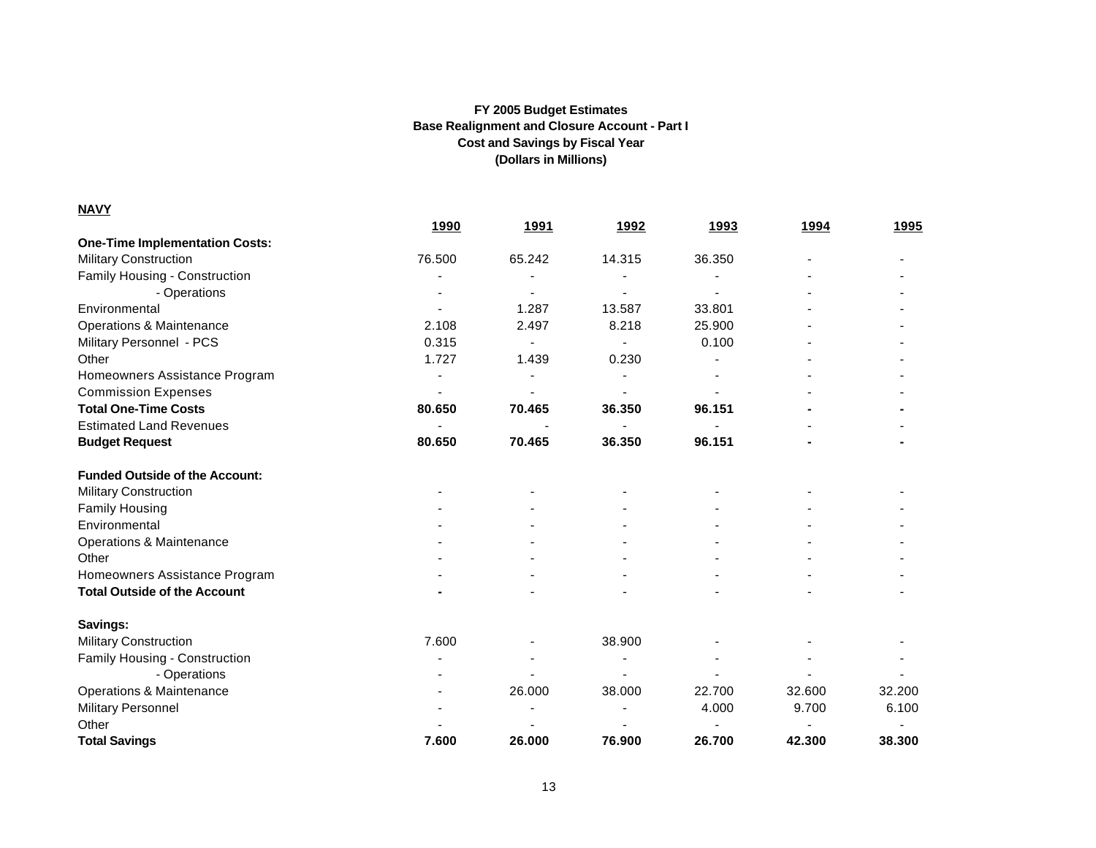| <b>NAVY</b>                           |             |                          |             |        |        |              |
|---------------------------------------|-------------|--------------------------|-------------|--------|--------|--------------|
|                                       | <u>1990</u> | <u>1991</u>              | <u>1992</u> | 1993   | 1994   | <u> 1995</u> |
| <b>One-Time Implementation Costs:</b> |             |                          |             |        |        |              |
| <b>Military Construction</b>          | 76.500      | 65.242                   | 14.315      | 36.350 |        |              |
| Family Housing - Construction         |             |                          |             |        |        |              |
| - Operations                          |             |                          |             |        |        |              |
| Environmental                         |             | 1.287                    | 13.587      | 33.801 |        |              |
| <b>Operations &amp; Maintenance</b>   | 2.108       | 2.497                    | 8.218       | 25.900 |        |              |
| Military Personnel - PCS              | 0.315       |                          |             | 0.100  |        |              |
| Other                                 | 1.727       | 1.439                    | 0.230       |        |        |              |
| Homeowners Assistance Program         |             | $\overline{\phantom{0}}$ |             |        |        |              |
| <b>Commission Expenses</b>            |             |                          |             |        |        |              |
| <b>Total One-Time Costs</b>           | 80.650      | 70.465                   | 36.350      | 96.151 |        |              |
| <b>Estimated Land Revenues</b>        |             |                          |             |        |        |              |
| <b>Budget Request</b>                 | 80.650      | 70.465                   | 36.350      | 96.151 |        |              |
| <b>Funded Outside of the Account:</b> |             |                          |             |        |        |              |
| <b>Military Construction</b>          |             |                          |             |        |        |              |
| <b>Family Housing</b>                 |             |                          |             |        |        |              |
| Environmental                         |             |                          |             |        |        |              |
| <b>Operations &amp; Maintenance</b>   |             |                          |             |        |        |              |
| Other                                 |             |                          |             |        |        |              |
| Homeowners Assistance Program         |             |                          |             |        |        |              |
| <b>Total Outside of the Account</b>   |             |                          |             |        |        |              |
| Savings:                              |             |                          |             |        |        |              |
| <b>Military Construction</b>          | 7.600       |                          | 38.900      |        |        |              |
| Family Housing - Construction         |             |                          |             |        |        |              |
| - Operations                          |             |                          |             |        |        |              |
| <b>Operations &amp; Maintenance</b>   |             | 26.000                   | 38.000      | 22.700 | 32.600 | 32.200       |
| Military Personnel                    |             |                          |             | 4.000  | 9.700  | 6.100        |
| Other                                 |             |                          |             |        |        |              |
| <b>Total Savings</b>                  | 7.600       | 26,000                   | 76.900      | 26.700 | 42.300 | 38.300       |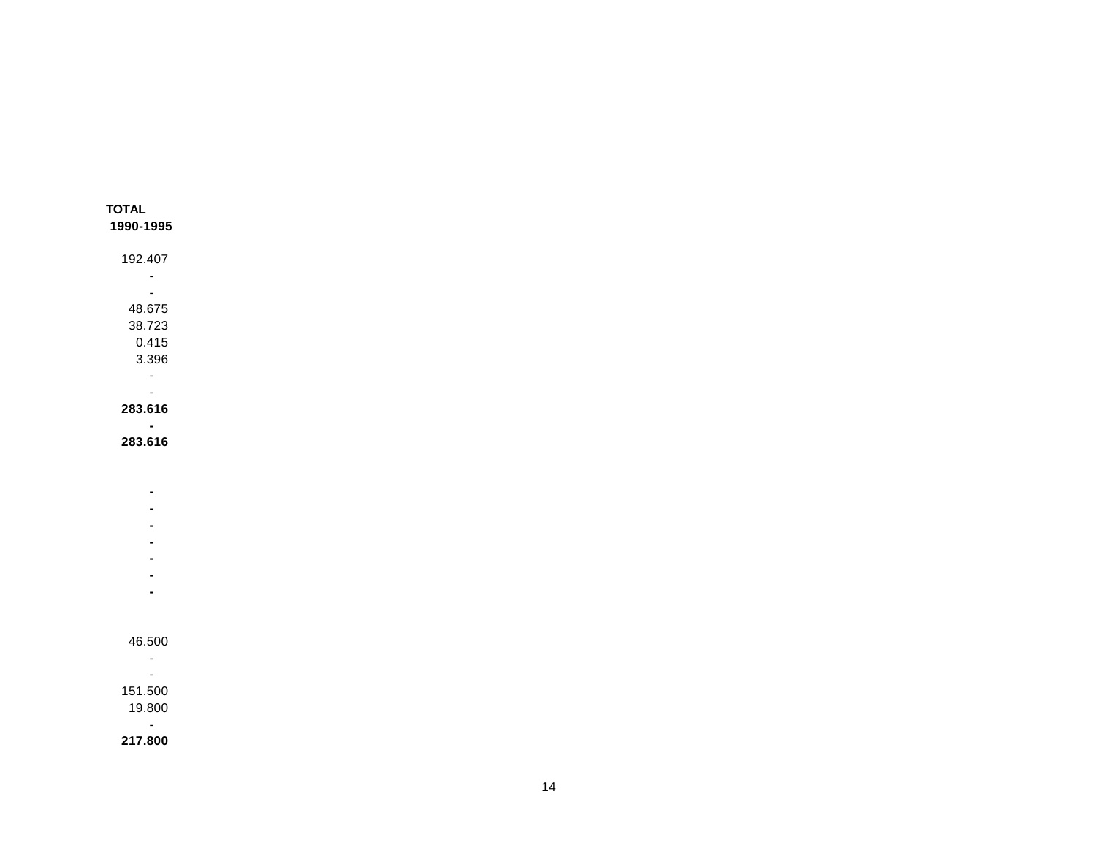| <b>TOTAL</b> |  |
|--------------|--|
| 1990-1995    |  |
| 192.407      |  |
|              |  |
|              |  |
| 48.675       |  |
| 38.723       |  |
| 0.415        |  |
| 3.396        |  |
|              |  |
|              |  |
| 283.616      |  |
|              |  |
| 283.616      |  |
|              |  |
|              |  |
|              |  |
|              |  |

- **- -**
- **-**
- **-**
- **-**

- -
- -
- 151.500 19.800
- $\sim$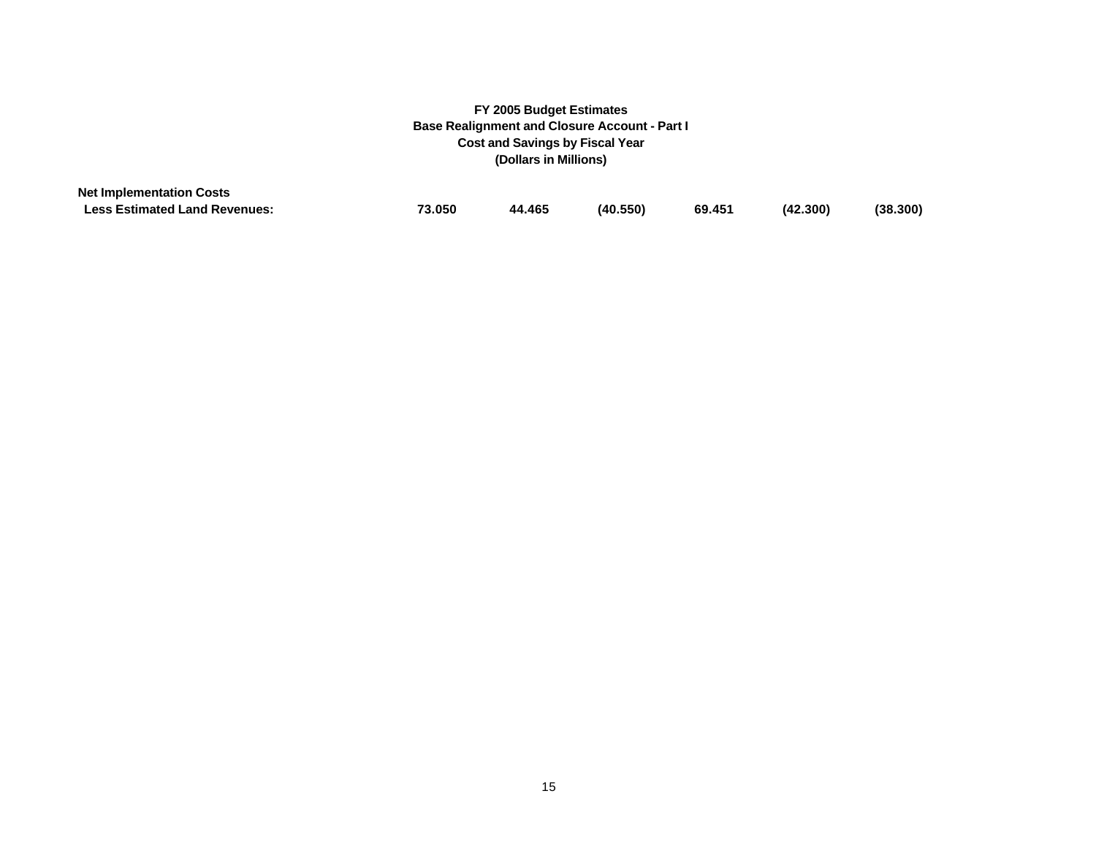| <b>Net Implementation Costs</b>      |        |        |          |        |          |          |
|--------------------------------------|--------|--------|----------|--------|----------|----------|
| <b>Less Estimated Land Revenues:</b> | 73.050 | 44.465 | (40.550) | 69.451 | (42.300) | (38.300) |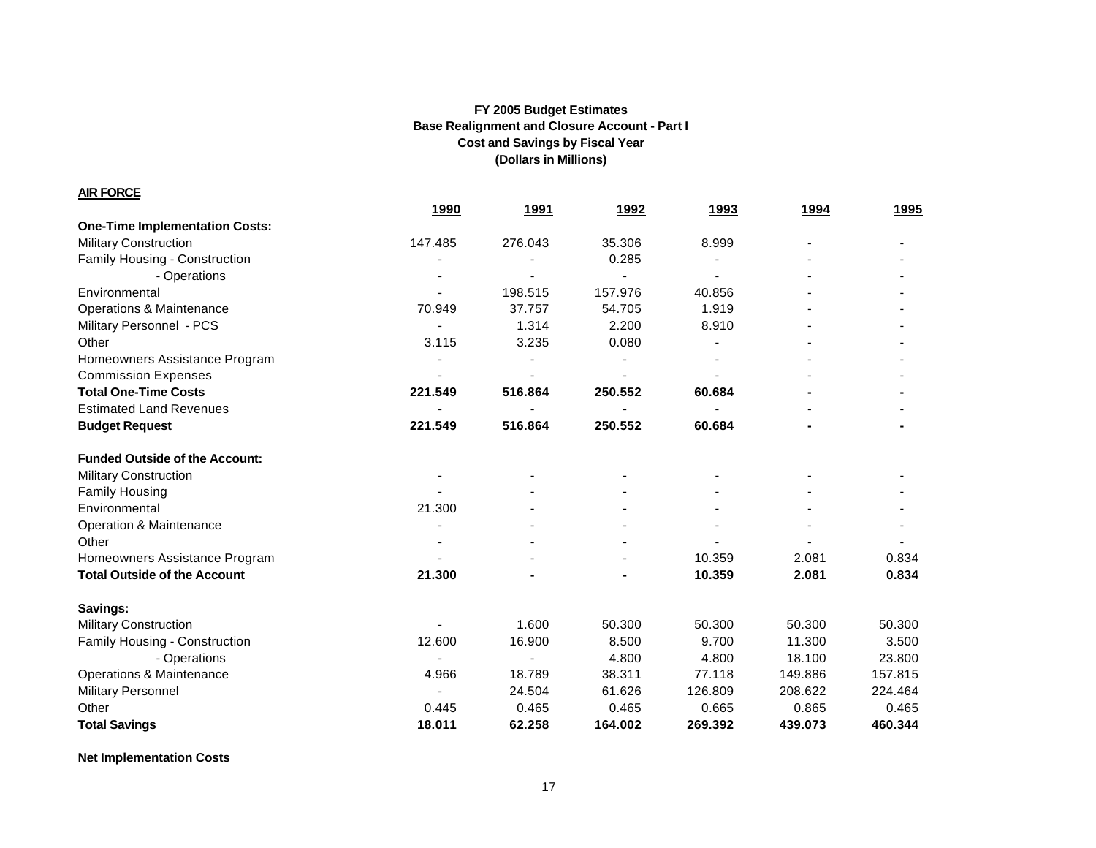**AIR FORCE**

|                                       | 1990    | 1991    | 1992           | 1993    | 1994    | <u>1995</u> |
|---------------------------------------|---------|---------|----------------|---------|---------|-------------|
| <b>One-Time Implementation Costs:</b> |         |         |                |         |         |             |
| <b>Military Construction</b>          | 147.485 | 276.043 | 35.306         | 8.999   |         |             |
| Family Housing - Construction         |         |         | 0.285          |         |         |             |
| - Operations                          |         |         |                |         |         |             |
| Environmental                         |         | 198.515 | 157.976        | 40.856  |         |             |
| <b>Operations &amp; Maintenance</b>   | 70.949  | 37.757  | 54.705         | 1.919   |         |             |
| Military Personnel - PCS              |         | 1.314   | 2.200          | 8.910   |         |             |
| Other                                 | 3.115   | 3.235   | 0.080          |         |         |             |
| Homeowners Assistance Program         |         |         |                |         |         |             |
| <b>Commission Expenses</b>            |         |         |                |         |         |             |
| <b>Total One-Time Costs</b>           | 221.549 | 516.864 | 250.552        | 60.684  |         |             |
| <b>Estimated Land Revenues</b>        |         |         |                |         |         |             |
| <b>Budget Request</b>                 | 221.549 | 516.864 | 250.552        | 60.684  |         |             |
| <b>Funded Outside of the Account:</b> |         |         |                |         |         |             |
| <b>Military Construction</b>          |         |         |                |         |         |             |
| <b>Family Housing</b>                 |         |         |                |         |         |             |
| Environmental                         | 21.300  |         |                |         |         |             |
| Operation & Maintenance               |         |         |                |         |         |             |
| Other                                 |         |         |                |         |         |             |
| Homeowners Assistance Program         |         |         |                | 10.359  | 2.081   | 0.834       |
| <b>Total Outside of the Account</b>   | 21.300  |         | $\blacksquare$ | 10.359  | 2.081   | 0.834       |
| Savings:                              |         |         |                |         |         |             |
| <b>Military Construction</b>          |         | 1.600   | 50.300         | 50.300  | 50.300  | 50.300      |
| Family Housing - Construction         | 12.600  | 16.900  | 8.500          | 9.700   | 11.300  | 3.500       |
| - Operations                          |         |         | 4.800          | 4.800   | 18.100  | 23.800      |
| <b>Operations &amp; Maintenance</b>   | 4.966   | 18.789  | 38.311         | 77.118  | 149.886 | 157.815     |
| <b>Military Personnel</b>             |         | 24.504  | 61.626         | 126.809 | 208.622 | 224.464     |
| Other                                 | 0.445   | 0.465   | 0.465          | 0.665   | 0.865   | 0.465       |
| <b>Total Savings</b>                  | 18.011  | 62.258  | 164.002        | 269.392 | 439.073 | 460.344     |

**Net Implementation Costs**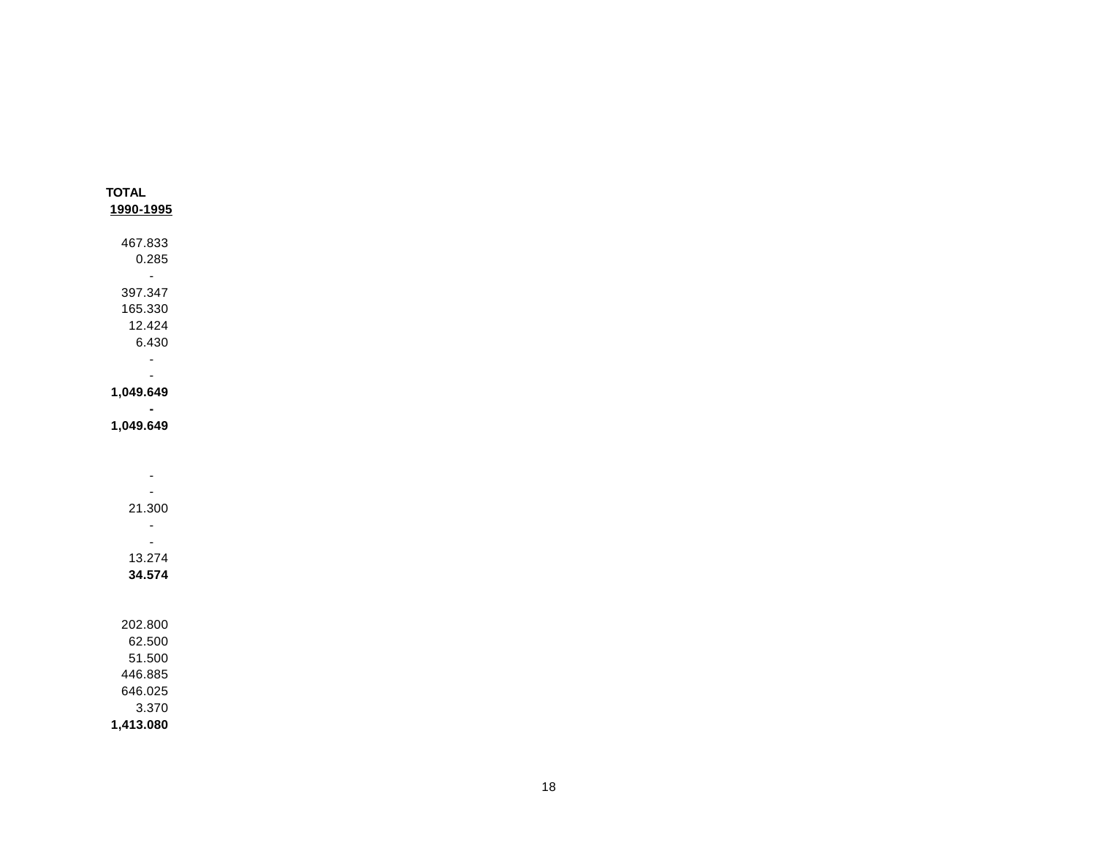| <b>TOTAL</b>                |  |  |
|-----------------------------|--|--|
| 1990-1995                   |  |  |
|                             |  |  |
| 467.833                     |  |  |
| 0.285                       |  |  |
| $\omega_{\rm{eff}}$         |  |  |
| 397.347                     |  |  |
| 165.330                     |  |  |
| 12.424                      |  |  |
| 6.430                       |  |  |
| $\mathcal{L}_{\mathcal{A}}$ |  |  |
| $\sim$                      |  |  |
| 1,049.649                   |  |  |
| $\blacksquare$              |  |  |
| 1,049.649                   |  |  |
|                             |  |  |
|                             |  |  |
| $\blacksquare$              |  |  |
| $\omega$                    |  |  |
| 21.300                      |  |  |
| $\omega$                    |  |  |
| $\sim$                      |  |  |
| 13.274                      |  |  |
| 34.574                      |  |  |
|                             |  |  |
|                             |  |  |
| 202.800                     |  |  |
| 62.500                      |  |  |
| 51.500                      |  |  |
| 446.885                     |  |  |
| 646.025                     |  |  |
| 3.370                       |  |  |
| 1,413.080                   |  |  |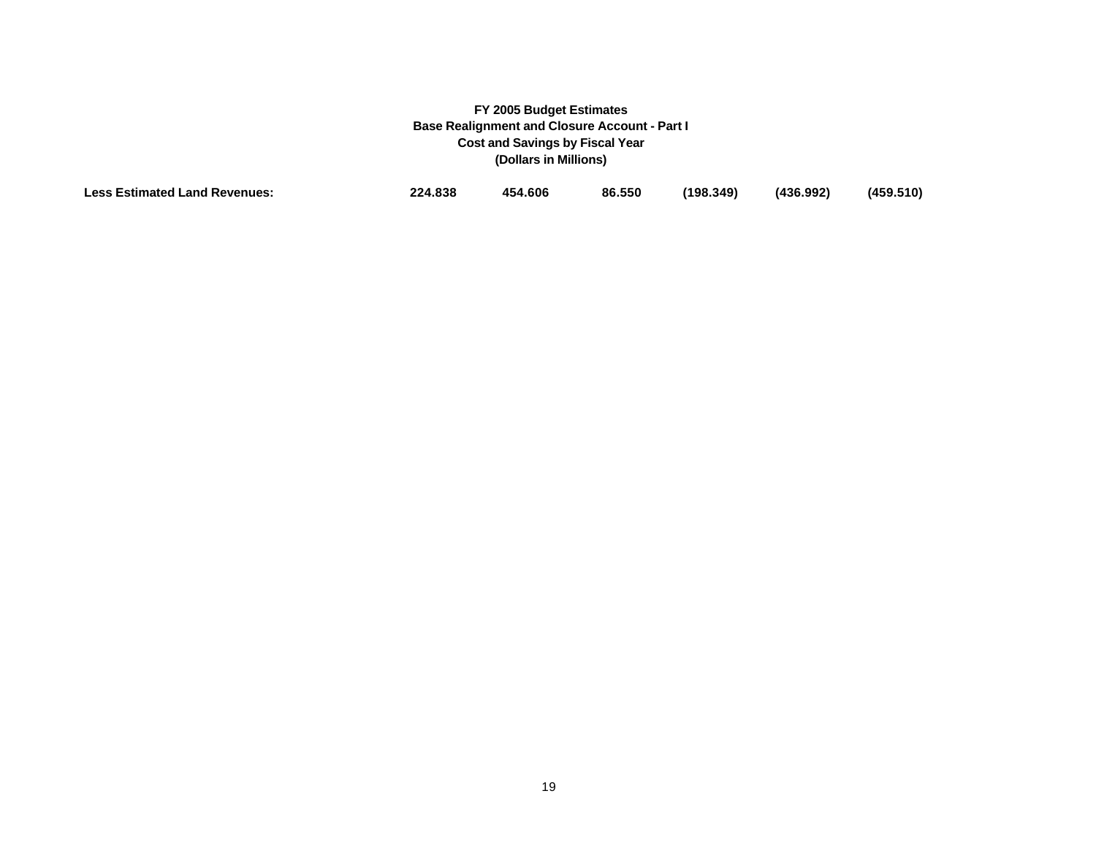| <b>Less Estimated Land Revenues:</b> | 224.838 | 454.606 | 86.550 | (198.349) | (436.992) | (459.510) |
|--------------------------------------|---------|---------|--------|-----------|-----------|-----------|
|                                      |         |         |        |           |           |           |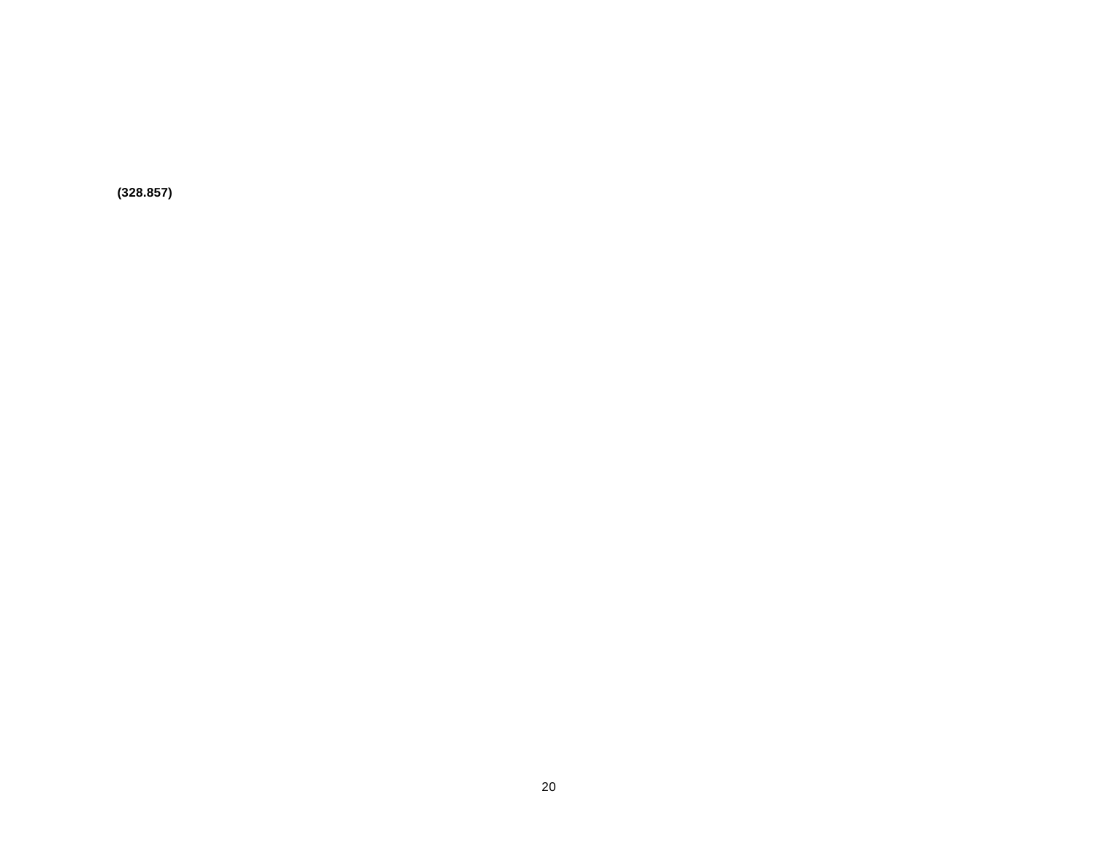**(328.857)**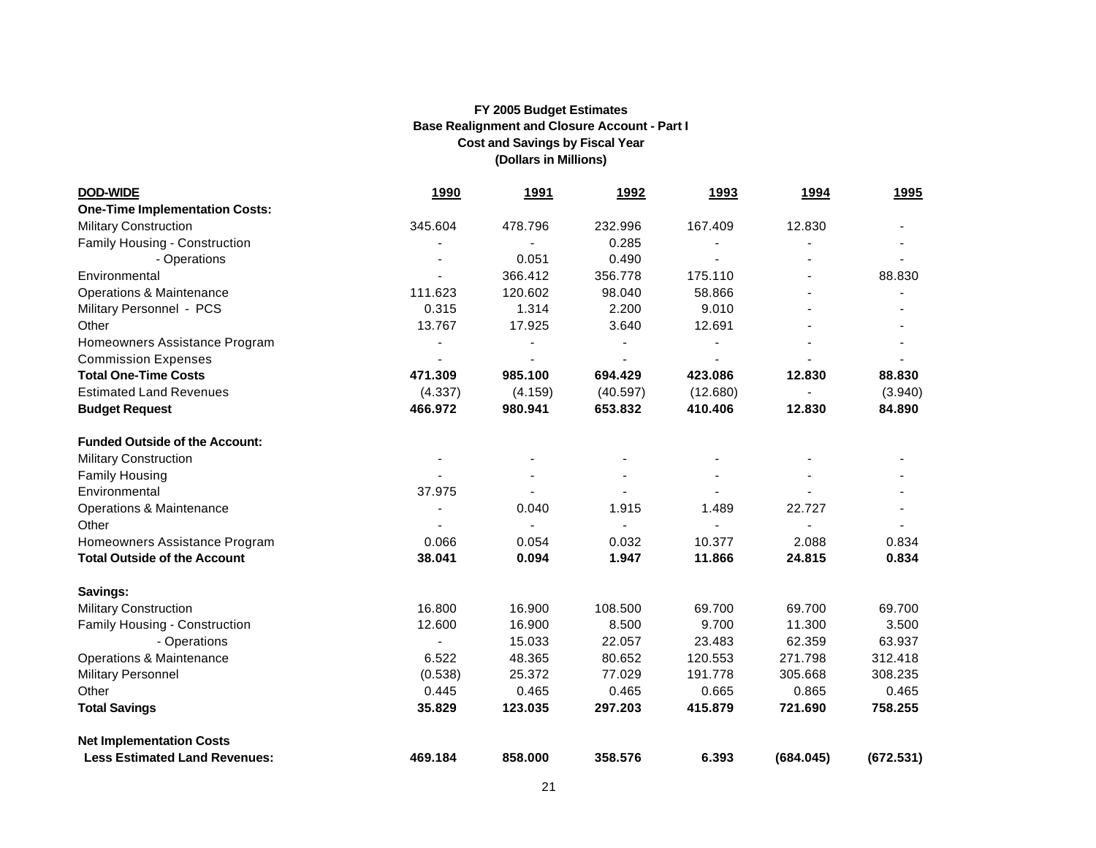| <b>DOD-WIDE</b>                       | <u>1990</u> | <u>1991</u> | <u>1992</u> | <u>1993</u> | <u>1994</u> | <u>1995</u> |
|---------------------------------------|-------------|-------------|-------------|-------------|-------------|-------------|
| <b>One-Time Implementation Costs:</b> |             |             |             |             |             |             |
| <b>Military Construction</b>          | 345.604     | 478.796     | 232.996     | 167.409     | 12.830      |             |
| Family Housing - Construction         |             |             | 0.285       |             |             |             |
| - Operations                          |             | 0.051       | 0.490       |             |             |             |
| Environmental                         |             | 366.412     | 356.778     | 175.110     |             | 88.830      |
| Operations & Maintenance              | 111.623     | 120.602     | 98.040      | 58.866      |             |             |
| Military Personnel - PCS              | 0.315       | 1.314       | 2.200       | 9.010       |             |             |
| Other                                 | 13.767      | 17.925      | 3.640       | 12.691      |             |             |
| Homeowners Assistance Program         |             |             |             |             |             |             |
| <b>Commission Expenses</b>            |             |             |             |             |             |             |
| <b>Total One-Time Costs</b>           | 471.309     | 985.100     | 694.429     | 423.086     | 12.830      | 88,830      |
| <b>Estimated Land Revenues</b>        | (4.337)     | (4.159)     | (40.597)    | (12.680)    |             | (3.940)     |
| <b>Budget Request</b>                 | 466.972     | 980.941     | 653.832     | 410.406     | 12.830      | 84.890      |
| <b>Funded Outside of the Account:</b> |             |             |             |             |             |             |
| <b>Military Construction</b>          |             |             |             |             |             |             |
| <b>Family Housing</b>                 |             |             |             |             |             |             |
| Environmental                         | 37.975      |             |             |             |             |             |
| Operations & Maintenance              |             | 0.040       | 1.915       | 1.489       | 22.727      |             |
| Other                                 |             |             |             |             |             |             |
| Homeowners Assistance Program         | 0.066       | 0.054       | 0.032       | 10.377      | 2.088       | 0.834       |
| <b>Total Outside of the Account</b>   | 38.041      | 0.094       | 1.947       | 11.866      | 24.815      | 0.834       |
| Savings:                              |             |             |             |             |             |             |
| <b>Military Construction</b>          | 16.800      | 16.900      | 108.500     | 69.700      | 69.700      | 69.700      |
| Family Housing - Construction         | 12.600      | 16.900      | 8.500       | 9.700       | 11.300      | 3.500       |
| - Operations                          |             | 15.033      | 22.057      | 23.483      | 62.359      | 63.937      |
| <b>Operations &amp; Maintenance</b>   | 6.522       | 48.365      | 80.652      | 120.553     | 271.798     | 312.418     |
| <b>Military Personnel</b>             | (0.538)     | 25.372      | 77.029      | 191.778     | 305.668     | 308.235     |
| Other                                 | 0.445       | 0.465       | 0.465       | 0.665       | 0.865       | 0.465       |
| <b>Total Savings</b>                  | 35.829      | 123.035     | 297.203     | 415.879     | 721.690     | 758.255     |
| <b>Net Implementation Costs</b>       |             |             |             |             |             |             |
| <b>Less Estimated Land Revenues:</b>  | 469.184     | 858,000     | 358,576     | 6.393       | (684.045)   | (672.531)   |